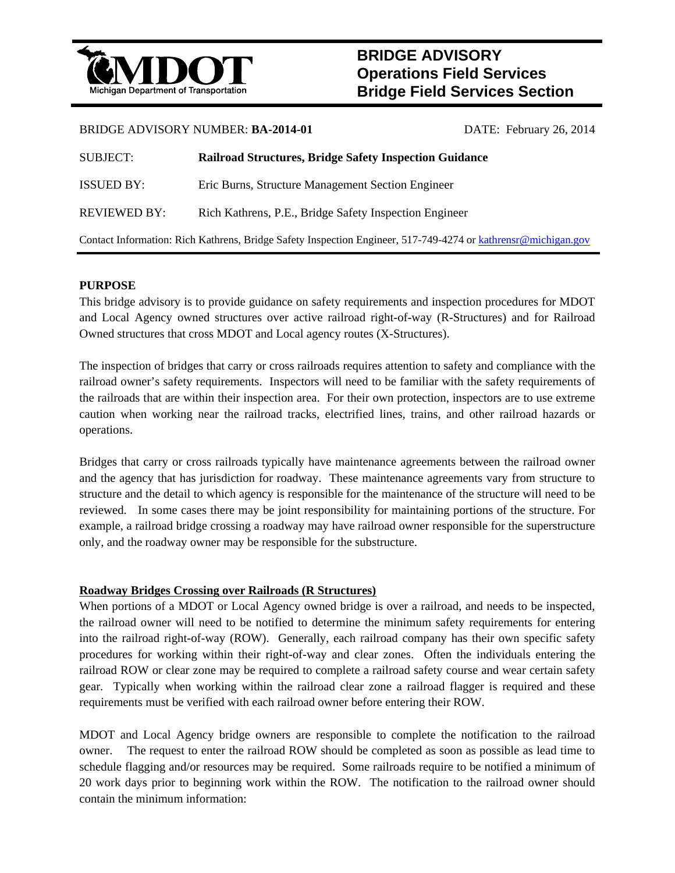

# **BRIDGE ADVISORY Operations Field Services Bridge Field Services Section**

#### BRIDGE ADVISORY NUMBER: **BA-2014-01** DATE: February 26, 2014

| SUBJECT:                                                                                                      | <b>Railroad Structures, Bridge Safety Inspection Guidance</b> |  |  |
|---------------------------------------------------------------------------------------------------------------|---------------------------------------------------------------|--|--|
| <b>ISSUED BY:</b>                                                                                             | Eric Burns, Structure Management Section Engineer             |  |  |
| <b>REVIEWED BY:</b>                                                                                           | Rich Kathrens, P.E., Bridge Safety Inspection Engineer        |  |  |
| Contact Information: Rich Kathrens, Bridge Safety Inspection Engineer, 517-749-4274 or kathrens @michigan.gov |                                                               |  |  |

### **PURPOSE**

This bridge advisory is to provide guidance on safety requirements and inspection procedures for MDOT and Local Agency owned structures over active railroad right-of-way (R-Structures) and for Railroad Owned structures that cross MDOT and Local agency routes (X-Structures).

The inspection of bridges that carry or cross railroads requires attention to safety and compliance with the railroad owner's safety requirements. Inspectors will need to be familiar with the safety requirements of the railroads that are within their inspection area. For their own protection, inspectors are to use extreme caution when working near the railroad tracks, electrified lines, trains, and other railroad hazards or operations.

Bridges that carry or cross railroads typically have maintenance agreements between the railroad owner and the agency that has jurisdiction for roadway. These maintenance agreements vary from structure to structure and the detail to which agency is responsible for the maintenance of the structure will need to be reviewed. In some cases there may be joint responsibility for maintaining portions of the structure. For example, a railroad bridge crossing a roadway may have railroad owner responsible for the superstructure only, and the roadway owner may be responsible for the substructure.

#### **Roadway Bridges Crossing over Railroads (R Structures)**

When portions of a MDOT or Local Agency owned bridge is over a railroad, and needs to be inspected, the railroad owner will need to be notified to determine the minimum safety requirements for entering into the railroad right-of-way (ROW). Generally, each railroad company has their own specific safety procedures for working within their right-of-way and clear zones. Often the individuals entering the railroad ROW or clear zone may be required to complete a railroad safety course and wear certain safety gear. Typically when working within the railroad clear zone a railroad flagger is required and these requirements must be verified with each railroad owner before entering their ROW.

MDOT and Local Agency bridge owners are responsible to complete the notification to the railroad owner. The request to enter the railroad ROW should be completed as soon as possible as lead time to schedule flagging and/or resources may be required. Some railroads require to be notified a minimum of 20 work days prior to beginning work within the ROW. The notification to the railroad owner should contain the minimum information: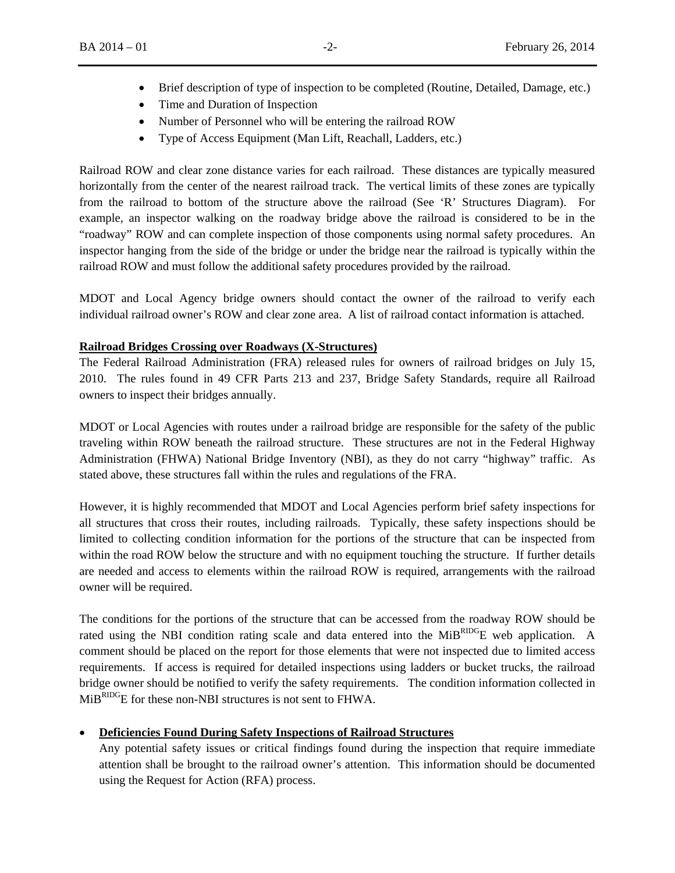- Brief description of type of inspection to be completed (Routine, Detailed, Damage, etc.)
- Time and Duration of Inspection
- Number of Personnel who will be entering the railroad ROW
- Type of Access Equipment (Man Lift, Reachall, Ladders, etc.)

Railroad ROW and clear zone distance varies for each railroad. These distances are typically measured horizontally from the center of the nearest railroad track. The vertical limits of these zones are typically from the railroad to bottom of the structure above the railroad (See 'R' Structures Diagram). For example, an inspector walking on the roadway bridge above the railroad is considered to be in the "roadway" ROW and can complete inspection of those components using normal safety procedures. An inspector hanging from the side of the bridge or under the bridge near the railroad is typically within the railroad ROW and must follow the additional safety procedures provided by the railroad.

MDOT and Local Agency bridge owners should contact the owner of the railroad to verify each individual railroad owner's ROW and clear zone area. A list of railroad contact information is attached.

#### **Railroad Bridges Crossing over Roadways (X-Structures)**

The Federal Railroad Administration (FRA) released rules for owners of railroad bridges on July 15, 2010. The rules found in 49 CFR Parts 213 and 237, Bridge Safety Standards, require all Railroad owners to inspect their bridges annually.

MDOT or Local Agencies with routes under a railroad bridge are responsible for the safety of the public traveling within ROW beneath the railroad structure. These structures are not in the Federal Highway Administration (FHWA) National Bridge Inventory (NBI), as they do not carry "highway" traffic. As stated above, these structures fall within the rules and regulations of the FRA.

However, it is highly recommended that MDOT and Local Agencies perform brief safety inspections for all structures that cross their routes, including railroads. Typically, these safety inspections should be limited to collecting condition information for the portions of the structure that can be inspected from within the road ROW below the structure and with no equipment touching the structure. If further details are needed and access to elements within the railroad ROW is required, arrangements with the railroad owner will be required.

The conditions for the portions of the structure that can be accessed from the roadway ROW should be rated using the NBI condition rating scale and data entered into the MiBRIDGE web application. A comment should be placed on the report for those elements that were not inspected due to limited access requirements. If access is required for detailed inspections using ladders or bucket trucks, the railroad bridge owner should be notified to verify the safety requirements. The condition information collected in MiBRIDGE for these non-NBI structures is not sent to FHWA.

#### **Deficiencies Found During Safety Inspections of Railroad Structures**

Any potential safety issues or critical findings found during the inspection that require immediate attention shall be brought to the railroad owner's attention. This information should be documented using the Request for Action (RFA) process.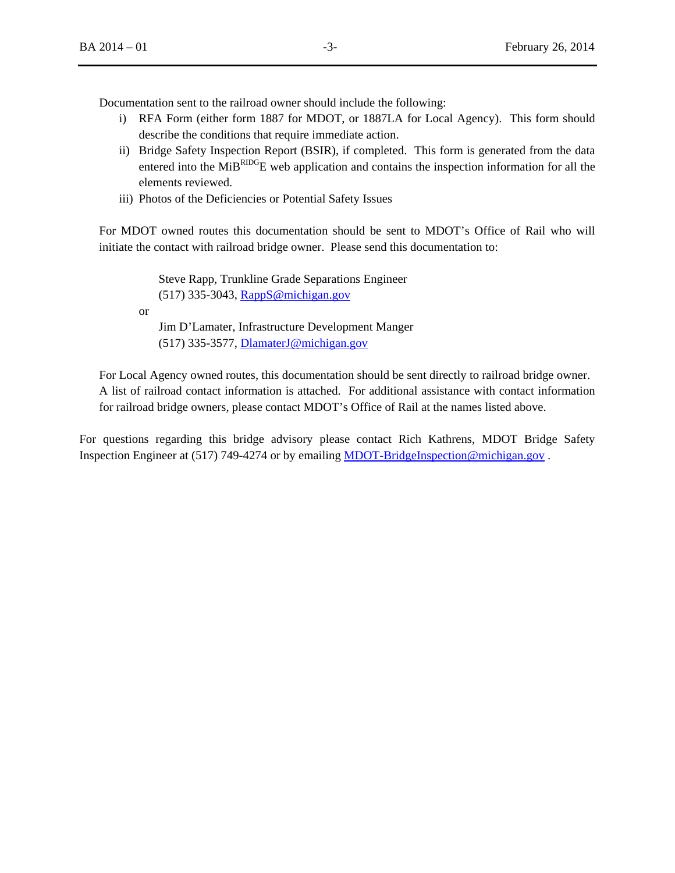Documentation sent to the railroad owner should include the following:

- i) RFA Form (either form 1887 for MDOT, or 1887LA for Local Agency). This form should describe the conditions that require immediate action.
- ii) Bridge Safety Inspection Report (BSIR), if completed. This form is generated from the data entered into the MiB<sup>RIDG</sup>E web application and contains the inspection information for all the elements reviewed.
- iii) Photos of the Deficiencies or Potential Safety Issues

For MDOT owned routes this documentation should be sent to MDOT's Office of Rail who will initiate the contact with railroad bridge owner. Please send this documentation to:

 Steve Rapp, Trunkline Grade Separations Engineer (517) 335-3043, RappS@michigan.gov or

Jim D'Lamater, Infrastructure Development Manger (517) 335-3577, DlamaterJ@michigan.gov

For Local Agency owned routes, this documentation should be sent directly to railroad bridge owner. A list of railroad contact information is attached. For additional assistance with contact information for railroad bridge owners, please contact MDOT's Office of Rail at the names listed above.

For questions regarding this bridge advisory please contact Rich Kathrens, MDOT Bridge Safety Inspection Engineer at (517) 749-4274 or by emailing MDOT-BridgeInspection@michigan.gov .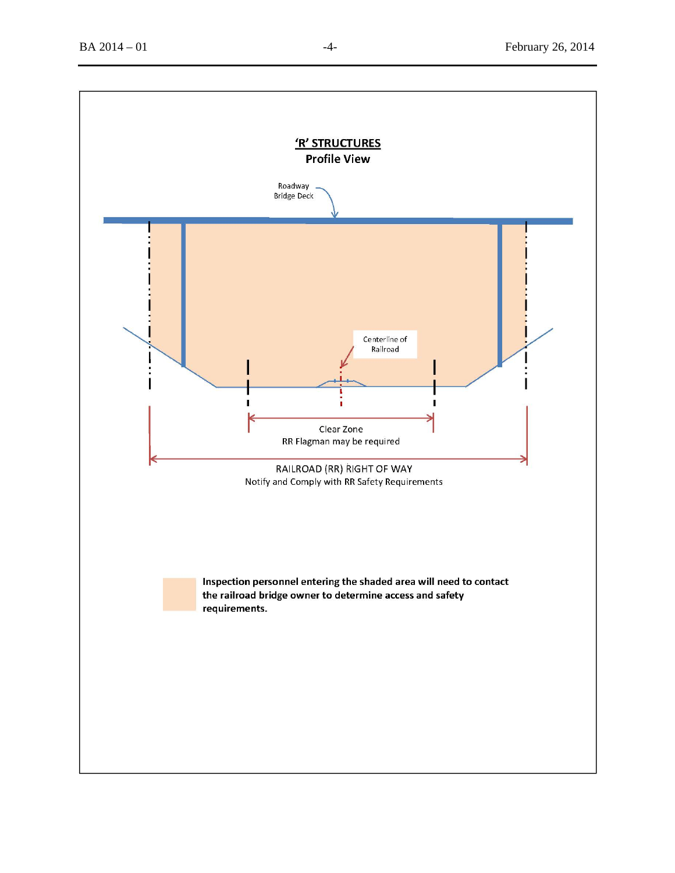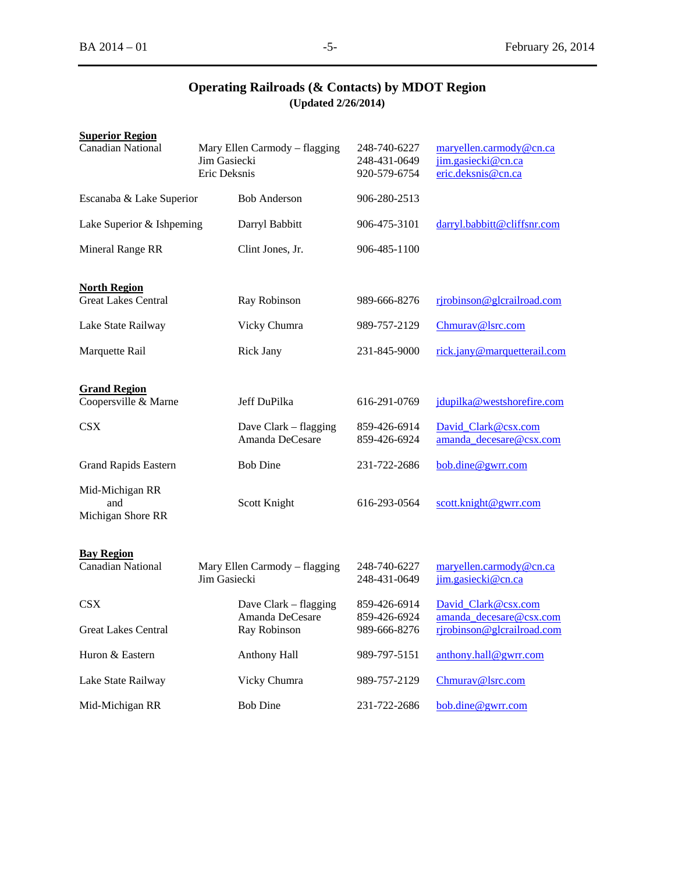## **Operating Railroads (& Contacts) by MDOT Region (Updated 2/26/2014)**

| <b>Superior Region</b>                            |                              |                                          |                                              |                                                                     |
|---------------------------------------------------|------------------------------|------------------------------------------|----------------------------------------------|---------------------------------------------------------------------|
| <b>Canadian National</b>                          | Jim Gasiecki<br>Eric Deksnis | Mary Ellen Carmody – flagging            | 248-740-6227<br>248-431-0649<br>920-579-6754 | maryellen.carmody@cn.ca<br>jim.gasiecki@cn.ca<br>eric.deksnis@cn.ca |
| Escanaba & Lake Superior                          |                              | <b>Bob Anderson</b>                      | 906-280-2513                                 |                                                                     |
| Lake Superior & Ishpeming                         |                              | Darryl Babbitt                           | 906-475-3101                                 | darryl.babbitt@cliffsnr.com                                         |
| Mineral Range RR                                  |                              | Clint Jones, Jr.                         | 906-485-1100                                 |                                                                     |
| <b>North Region</b><br><b>Great Lakes Central</b> |                              | Ray Robinson                             | 989-666-8276                                 | rjrobinson@glcrailroad.com                                          |
| Lake State Railway                                |                              | Vicky Chumra                             | 989-757-2129                                 | Chmurav@lsrc.com                                                    |
| Marquette Rail                                    |                              | <b>Rick Jany</b>                         | 231-845-9000                                 | rick.jany@marquetterail.com                                         |
| <b>Grand Region</b><br>Coopersville & Marne       |                              | Jeff DuPilka                             | 616-291-0769                                 | jdupilka@westshorefire.com                                          |
| <b>CSX</b>                                        |                              | Dave Clark - flagging<br>Amanda DeCesare | 859-426-6914<br>859-426-6924                 | David Clark@csx.com<br>amanda_decesare@csx.com                      |
| <b>Grand Rapids Eastern</b>                       |                              | <b>Bob Dine</b>                          | 231-722-2686                                 | bob.dine@gwrr.com                                                   |
| Mid-Michigan RR<br>and<br>Michigan Shore RR       |                              | Scott Knight                             | 616-293-0564                                 | scott.knight@gwrr.com                                               |
| <b>Bay Region</b><br><b>Canadian National</b>     | Jim Gasiecki                 | Mary Ellen Carmody – flagging            | 248-740-6227<br>248-431-0649                 | maryellen.carmody@cn.ca<br>jim.gasiecki@cn.ca                       |
| <b>CSX</b>                                        |                              | Dave Clark – flagging                    | 859-426-6914                                 | David Clark@csx.com                                                 |
| <b>Great Lakes Central</b>                        |                              | Amanda DeCesare<br>Ray Robinson          | 859-426-6924<br>989-666-8276                 | amanda decesare@csx.com<br>rjrobinson@glcrailroad.com               |
| Huron & Eastern                                   |                              | <b>Anthony Hall</b>                      | 989-797-5151                                 | anthony.hall@gwrr.com                                               |
| Lake State Railway                                |                              | Vicky Chumra                             | 989-757-2129                                 | Chmurav@lsrc.com                                                    |
| Mid-Michigan RR                                   |                              | <b>Bob Dine</b>                          | 231-722-2686                                 | bob.dine@gwrr.com                                                   |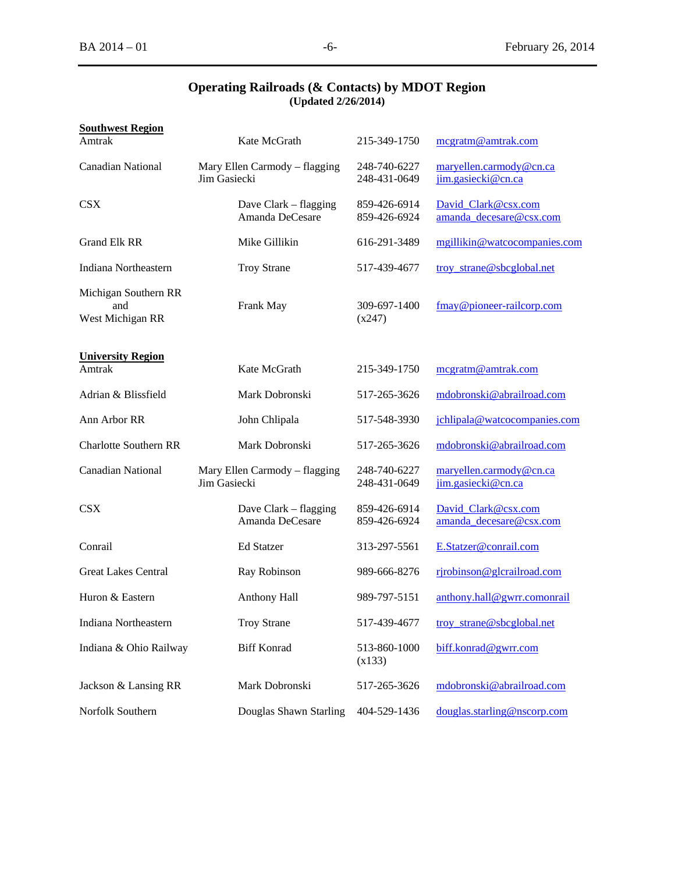|                                   | <b>Operating Railroads (&amp; Contacts) by MDOT Region</b><br>(Updated 2/26/2014) |                              |                                               |
|-----------------------------------|-----------------------------------------------------------------------------------|------------------------------|-----------------------------------------------|
| <b>Southwest Region</b><br>Amtrak | Kate McGrath                                                                      | 215-349-1750                 | megratm@amtrak.com                            |
| Canadian National                 | Mary Ellen Carmody – flagging<br>Jim Gasiecki                                     | 248-740-6227<br>248-431-0649 | maryellen.carmody@cn.ca<br>jim.gasiecki@cn.ca |

# **Operating R**

| <b>Canadian National</b>                        | Jim Gasiecki | Mary Ellen Carmody - flagging            | 248-740-6227<br>248-431-0649 | maryellen.carmody@cn.ca<br>jim.gasiecki@cn.ca  |
|-------------------------------------------------|--------------|------------------------------------------|------------------------------|------------------------------------------------|
| <b>CSX</b>                                      |              | Dave Clark – flagging<br>Amanda DeCesare | 859-426-6914<br>859-426-6924 | David_Clark@csx.com<br>amanda decesare@csx.com |
| <b>Grand Elk RR</b>                             |              | Mike Gillikin                            | 616-291-3489                 | mgillikin@watcocompanies.com                   |
| Indiana Northeastern                            |              | <b>Troy Strane</b>                       | 517-439-4677                 | troy_strane@sbcglobal.net                      |
| Michigan Southern RR<br>and<br>West Michigan RR |              | Frank May                                | 309-697-1400<br>(x247)       | fmay@pioneer-railcorp.com                      |
| <b>University Region</b><br>Amtrak              |              | Kate McGrath                             | 215-349-1750                 | mcgratm@amtrak.com                             |
| Adrian & Blissfield                             |              | Mark Dobronski                           | 517-265-3626                 | mdobronski@abrailroad.com                      |
| Ann Arbor RR                                    |              | John Chlipala                            | 517-548-3930                 | jchlipala@watcocompanies.com                   |
| <b>Charlotte Southern RR</b>                    |              | Mark Dobronski                           | 517-265-3626                 | mdobronski@abrailroad.com                      |
| <b>Canadian National</b>                        | Jim Gasiecki | Mary Ellen Carmody - flagging            | 248-740-6227<br>248-431-0649 | maryellen.carmody@cn.ca<br>jim.gasiecki@cn.ca  |
| <b>CSX</b>                                      |              | Dave Clark – flagging<br>Amanda DeCesare | 859-426-6914<br>859-426-6924 | David_Clark@csx.com<br>amanda decesare@csx.com |
| Conrail                                         |              | <b>Ed Statzer</b>                        | 313-297-5561                 | E.Statzer@conrail.com                          |
| <b>Great Lakes Central</b>                      |              | Ray Robinson                             | 989-666-8276                 | rjrobinson@glcrailroad.com                     |
| Huron & Eastern                                 |              | <b>Anthony Hall</b>                      | 989-797-5151                 | anthony.hall@gwrr.comonrail                    |
| Indiana Northeastern                            |              | <b>Troy Strane</b>                       | 517-439-4677                 | troy_strane@sbcglobal.net                      |
| Indiana & Ohio Railway                          |              | <b>Biff Konrad</b>                       | 513-860-1000<br>(x133)       | biff.konrad@gwrr.com                           |
| Jackson & Lansing RR                            |              | Mark Dobronski                           | 517-265-3626                 | mdobronski@abrailroad.com                      |
| Norfolk Southern                                |              | Douglas Shawn Starling                   | 404-529-1436                 | douglas.starling@nscorp.com                    |